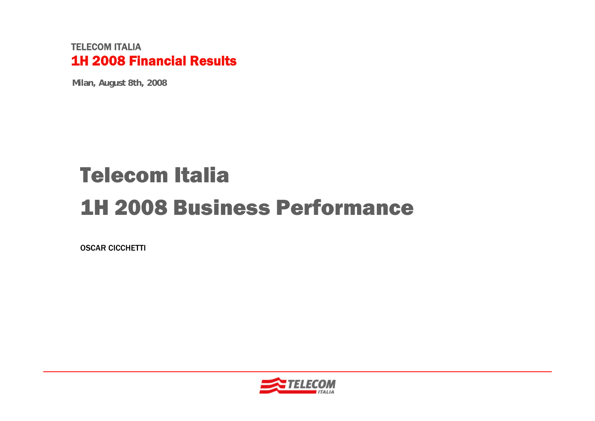#### TELECOM ITALIA1H 2008 Financial Results

**Milan, August 8th, 2008**

# Telecom Italia1H 2008 Business Performance

OSCAR CICCHETTI

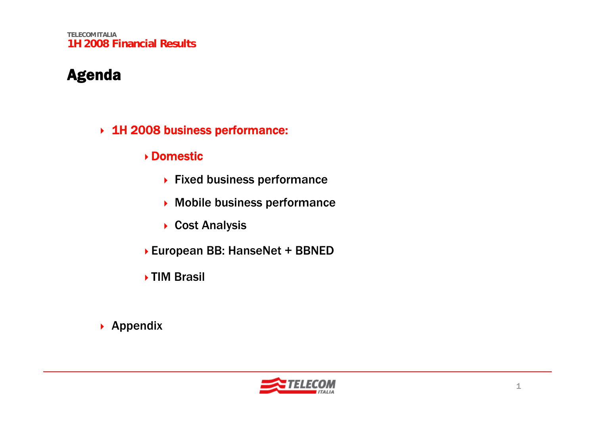**TELECOM ITALIA1H 2008 Financial Results**

#### Agenda

- 1H 2008 business performance:
	- Domestic
		- ▶ Fixed business performance
		- Mobile business performance
		- ▶ Cost Analysis
	- European BB: HanseNet + BBNED
	- **▶TIM Brasil**

▶ Appendix

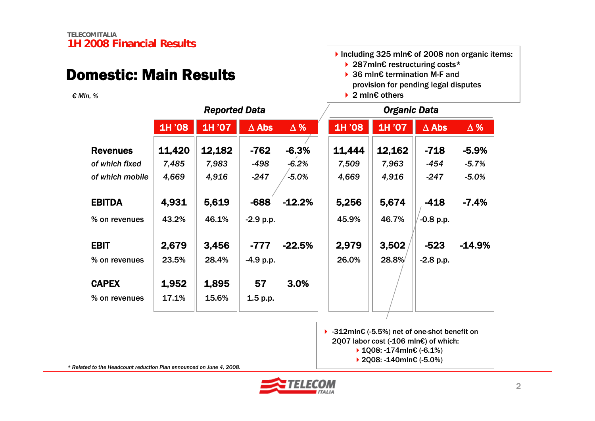## Domestic: Main Results

*€ Mln, %*



- 36 mln€ termination M-F and provision for pending legal disputes
- 2 mln€ others

|                 |        | <b>Reported Data</b> |              |            |        | Organic Data |              |            |
|-----------------|--------|----------------------|--------------|------------|--------|--------------|--------------|------------|
|                 | 1H '08 | 1H '07               | $\Delta$ Abs | $\Delta$ % | 1H '08 | 1H '07       | $\Delta$ Abs | $\Delta$ % |
| <b>Revenues</b> | 11,420 | 12,182               | $-762$       | $-6.3%$    | 11,444 | 12,162       | $-718$       | $-5.9%$    |
| of which fixed  | 7,485  | 7,983                | $-498$       | $-6.2%$    | 7,509  | 7,963        | $-454$       | $-5.7%$    |
| of which mobile | 4,669  | 4,916                | $-247$       | $-5.0%$    | 4,669  | 4,916        | $-247$       | $-5.0%$    |
|                 |        |                      |              |            |        |              |              |            |
| <b>EBITDA</b>   | 4,931  | 5,619                | $-688$       | $-12.2%$   | 5,256  | 5,674        | $-418$       | $-7.4%$    |
| % on revenues   | 43.2%  | 46.1%                | $-2.9 p.p.$  |            | 45.9%  | 46.7%        | $-0.8$ p.p.  |            |
| <b>EBIT</b>     | 2,679  | 3,456                | $-777$       | $-22.5%$   | 2,979  | 3,502        | $-523$       | $-14.9%$   |
| % on revenues   | 23.5%  | 28.4%                | $-4.9 p.p.$  |            | 26.0%  | 28.8%        | $-2.8$ p.p.  |            |
| <b>CAPEX</b>    | 1,952  | 1,895                | 57           | 3.0%       |        |              |              |            |
|                 |        |                      |              |            |        |              |              |            |
| % on revenues   | 17.1%  | 15.6%                | 1.5 p.p.     |            |        |              |              |            |

 -312mln€ (-5.5%) net of one-shot benefit on 2Q07 labor cost (-106 mln€) of which: 1Q08: -174mln€ (-6.1%) 2Q08: -140mln€ (-5.0%)

*\* Related to the Headcount reduction Plan announced on June 4, 2008.*

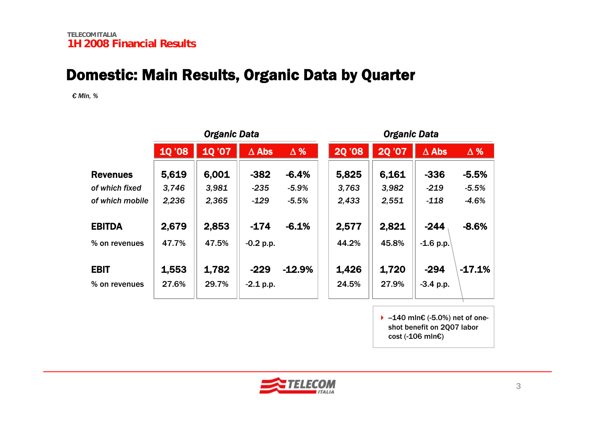#### Domestic: Main Results, Organic Data by Quarter

*€ Mln, %*

|                 |               | <b>Organic Data</b> |              |            |               | <b>Organic Data</b> |              |            |  |
|-----------------|---------------|---------------------|--------------|------------|---------------|---------------------|--------------|------------|--|
|                 | <b>10 '08</b> | 10'07               | $\Delta$ Abs | $\Delta$ % | <b>20 '08</b> | <b>20'07</b>        | $\Delta$ Abs | $\Delta$ % |  |
| <b>Revenues</b> | 5,619         | 6,001               | $-382$       | $-6.4%$    | 5,825         | 6,161               | $-336$       | $-5.5%$    |  |
| of which fixed  | 3,746         | 3,981               | $-235$       | $-5.9%$    | 3,763         | 3,982               | $-219$       | $-5.5%$    |  |
| of which mobile | 2,236         | 2,365               | $-129$       | $-5.5%$    | 2,433         | 2,551               | $-118$       | $-4.6%$    |  |
| <b>EBITDA</b>   | 2,679         | 2,853               | $-174$       | $-6.1%$    | 2,577         | 2,821               | $-244$       | $-8.6%$    |  |
| % on revenues   | 47.7%         | 47.5%               | $-0.2 p.p.$  |            | 44.2%         | 45.8%               | $-1.6$ p.p.  |            |  |
|                 |               |                     |              |            |               |                     |              |            |  |
| <b>EBIT</b>     | 1,553         | 1,782               | $-229$       | $-12.9%$   | 1,426         | 1,720               | $-294$       | $-17.1%$   |  |
| % on revenues   | 27.6%         | 29.7%               | $-2.1$ p.p.  |            | 24.5%         | 27.9%               | $-3.4 p.p.$  |            |  |
|                 |               |                     |              |            |               |                     |              |            |  |

 $\blacktriangleright$  -140 mln€ (-5.0%) net of oneshot benefit on 2Q07 labor cost (-106 mln€)

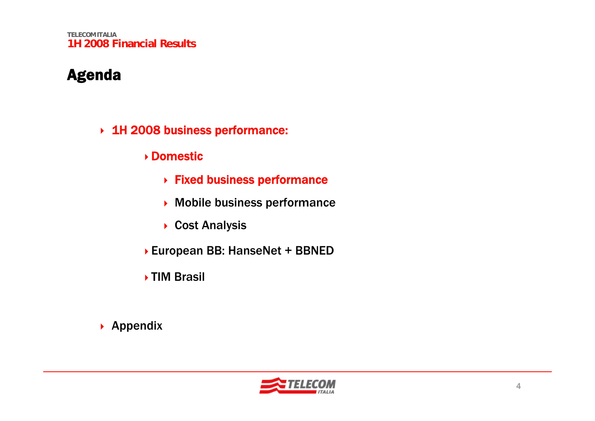**TELECOM ITALIA1H 2008 Financial Results**

#### Agenda

- 1H 2008 business performance:
	- Domestic
		- Fixed business performance
		- Mobile business performance
		- ▶ Cost Analysis
	- European BB: HanseNet + BBNED
	- ▶ TIM Brasil

▶ Appendix

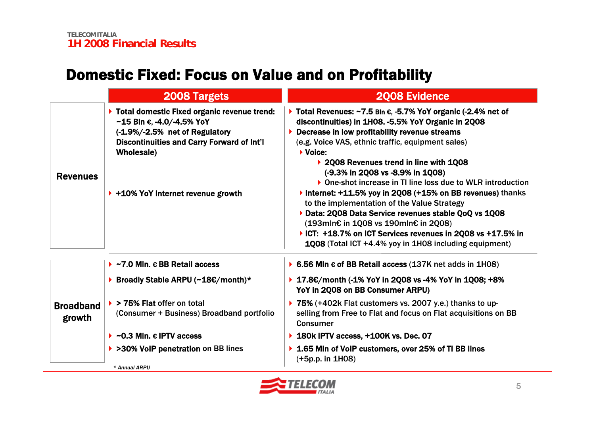## Domestic Fixed: Focus on Value and on Profitability

|                            | <b>2008 Targets</b>                                                                                                                                                                                                                               | <b>2008 Evidence</b>                                                                                                                                                                                                                                                                                                                                                                                                                                                                                               |
|----------------------------|---------------------------------------------------------------------------------------------------------------------------------------------------------------------------------------------------------------------------------------------------|--------------------------------------------------------------------------------------------------------------------------------------------------------------------------------------------------------------------------------------------------------------------------------------------------------------------------------------------------------------------------------------------------------------------------------------------------------------------------------------------------------------------|
| <b>Revenues</b>            | > Total domestic Fixed organic revenue trend:<br>$~15$ Bln $~6$ , -4.0/-4.5% YoY<br>(-1.9%/-2.5% net of Regulatory<br><b>Discontinuities and Carry Forward of Int'l</b><br><b>Wholesale)</b><br>$\triangleright$ +10% YoY Internet revenue growth | $\triangleright$ Total Revenues: ~7.5 Bln $\epsilon$ , -5.7% YoY organic (-2.4% net of<br>discontinuities) in 1H08. -5.5% YoY Organic in 2Q08<br>$\triangleright$ Decrease in low profitability revenue streams<br>(e.g. Voice VAS, ethnic traffic, equipment sales)<br>$\blacktriangleright$ Voice:<br>▶ 2008 Revenues trend in line with 1008<br>$(-9.3\%$ in 2Q08 vs -8.9% in 1Q08)<br>▶ One-shot increase in TI line loss due to WLR introduction<br>Internet: +11.5% yoy in 2Q08 (+15% on BB revenues) thanks |
|                            |                                                                                                                                                                                                                                                   | to the implementation of the Value Strategy<br>Data: 2008 Data Service revenues stable QoQ vs 1008<br>(193mln€ in 1Q08 vs 190mln€ in 2Q08)<br>▶ ICT: +18.7% on ICT Services revenues in 2Q08 vs +17.5% in<br>1008 (Total ICT +4.4% yoy in 1H08 including equipment)                                                                                                                                                                                                                                                |
|                            | $\triangleright$ ~7.0 Mln. $\epsilon$ BB Retail access                                                                                                                                                                                            | ▶ 6.56 Mln $\epsilon$ of BB Retail access (137K net adds in 1H08)                                                                                                                                                                                                                                                                                                                                                                                                                                                  |
|                            | ▶ Broadly Stable ARPU (~18€/month)*                                                                                                                                                                                                               | ▶ 17.8€/month (-1% YoY in 2Q08 vs -4% YoY in 1Q08; +8%<br>YoY in 2Q08 on BB Consumer ARPU)                                                                                                                                                                                                                                                                                                                                                                                                                         |
| <b>Broadband</b><br>growth | $\triangleright$ > 75% Flat offer on total<br>(Consumer + Business) Broadband portfolio                                                                                                                                                           | ▶ 75% (+402k Flat customers vs. 2007 y.e.) thanks to up-<br>selling from Free to Flat and focus on Flat acquisitions on BB<br><b>Consumer</b>                                                                                                                                                                                                                                                                                                                                                                      |
|                            | $\triangleright$ ~0.3 Mln. $\epsilon$ IPTV access                                                                                                                                                                                                 | $\triangleright$ 180k IPTV access, +100K vs. Dec. 07                                                                                                                                                                                                                                                                                                                                                                                                                                                               |
|                            | ▶ >30% VoIP penetration on BB lines<br>* Annual ARPU                                                                                                                                                                                              | ▶ 1.65 Min of VoIP customers, over 25% of TI BB lines<br>$(+5p.p. in 1H08)$                                                                                                                                                                                                                                                                                                                                                                                                                                        |

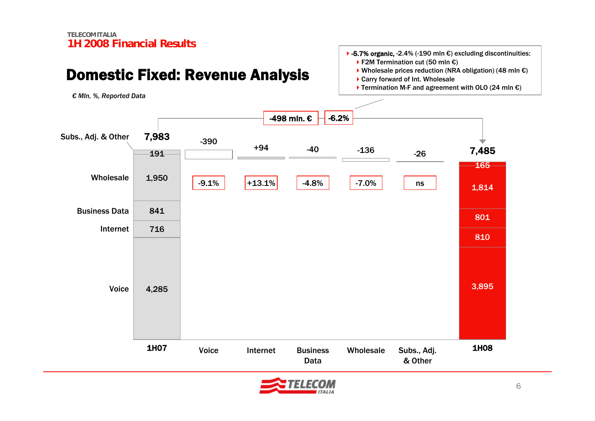## Domestic Fixed: Revenue Analysis

*€ Mln, %, Reported Data*



 $\blacktriangleright$  Termination M-F and agreement with OLO (24 mln €)



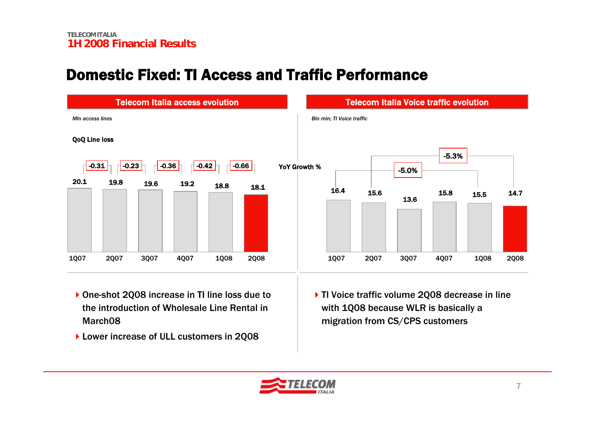#### Domestic Fixed: TI Access and Traffic Performance



- ▶ One-shot 2Q08 increase in TI line loss due to the introduction of Wholesale Line Rental in March08
- Lower increase of ULL customers in 2Q08

▶ TI Voice traffic volume 2008 decrease in line with 1Q08 because WLR is basically a migration from CS/CPS customers

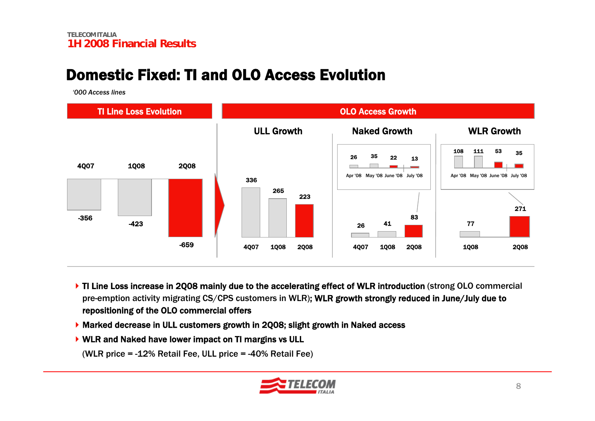#### Domestic Fixed: TI and OLO Access Evolution

*'000 Access lines*



- If TI Line Loss increase in 2008 mainly due to the accelerating effect of WLR introduction (strong OLO commercial pre-emption activity migrating CS/CPS customers in WLR); WLR growth strongly reduced in June/July due to repositioning of the OLO commercial offers
- Marked decrease in ULL customers growth in 2Q08; slight growth in Naked access
- ▶ WLR and Naked have lower impact on TI margins vs ULL

(WLR price = -12% Retail Fee, ULL price = -40% Retail Fee)

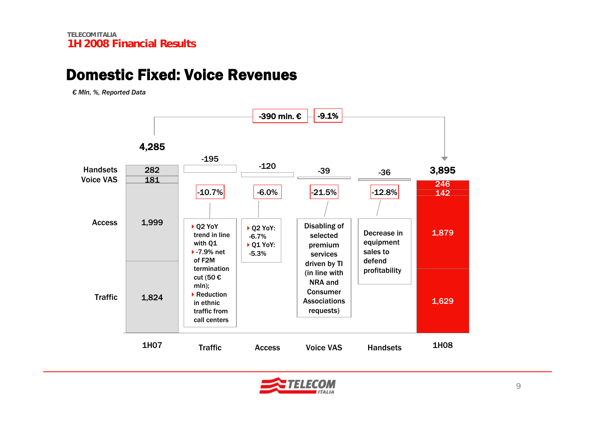#### Domestic Fixed: Voice Revenues

*€ Mln, %, Reported Data*



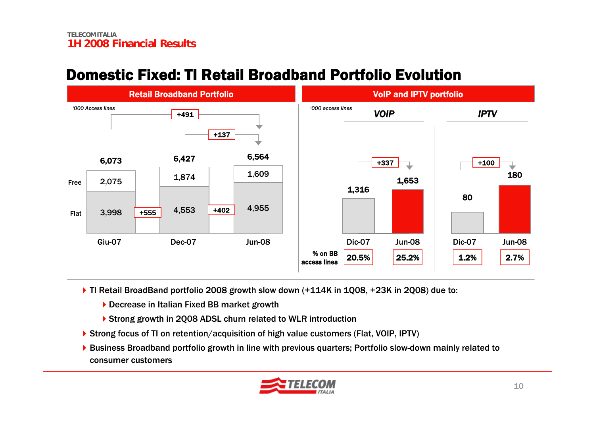#### Domestic Fixed: TI Retail Broadband Portfolio Evolution



- ▶ TI Retail BroadBand portfolio 2008 growth slow down (+114K in 1Q08, +23K in 2Q08) due to:
	- ▶ Decrease in Italian Fixed BB market growth
	- ▶ Strong growth in 2Q08 ADSL churn related to WLR introduction
- ▶ Strong focus of TI on retention/acquisition of high value customers (Flat, VOIP, IPTV)
- ▶ Business Broadband portfolio growth in line with previous quarters; Portfolio slow-down mainly related to consumer customers

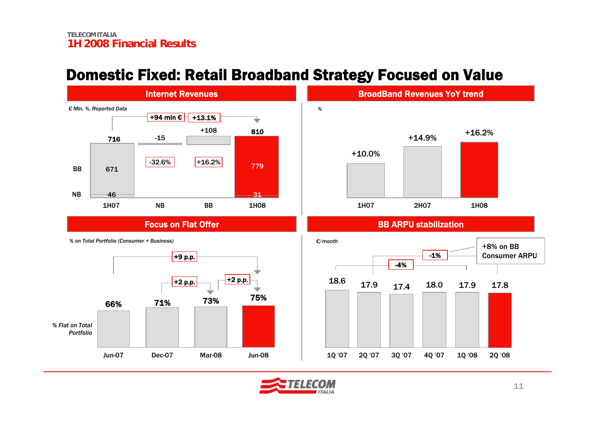#### Domestic Fixed: Retail Broadband Strategy Focused on Value



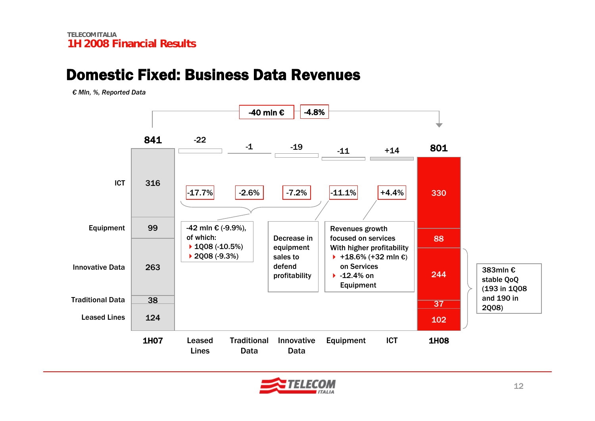#### Domestic Fixed: Business Data Revenues

*€ Mln, %, Reported Data*



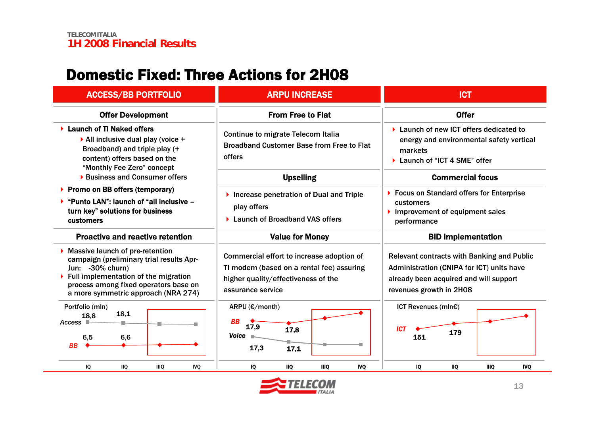#### Domestic Fixed: Three Actions for 2H08

| <b>ACCESS/BB PORTFOLIO</b>                                                                                                                                                                                                     | <b>ARPU INCREASE</b>                                                                                                                                                                                       | <b>ICT</b>                                                                                                                                                          |  |  |
|--------------------------------------------------------------------------------------------------------------------------------------------------------------------------------------------------------------------------------|------------------------------------------------------------------------------------------------------------------------------------------------------------------------------------------------------------|---------------------------------------------------------------------------------------------------------------------------------------------------------------------|--|--|
| <b>Offer Development</b>                                                                                                                                                                                                       | <b>From Free to Flat</b>                                                                                                                                                                                   | <b>Offer</b>                                                                                                                                                        |  |  |
| <b>Launch of TI Naked offers</b><br>$\triangleright$ All inclusive dual play (voice +<br>Broadband) and triple play (+<br>content) offers based on the<br>"Monthly Fee Zero" concept                                           | Continue to migrate Telecom Italia<br><b>Broadband Customer Base from Free to Flat</b><br>offers                                                                                                           | ▶ Launch of new ICT offers dedicated to<br>energy and environmental safety vertical<br>markets<br>▶ Launch of "ICT 4 SME" offer                                     |  |  |
| <b>Business and Consumer offers</b>                                                                                                                                                                                            | <b>Upselling</b>                                                                                                                                                                                           | <b>Commercial focus</b>                                                                                                                                             |  |  |
| ▶ Promo on BB offers (temporary)<br>"Punto LAN": launch of "all inclusive -<br>turn key" solutions for business<br>customers                                                                                                   | ▶ Focus on Standard offers for Enterprise<br>Increase penetration of Dual and Triple<br>customers<br>play offers<br>Improvement of equipment sales<br><b>Launch of Broadband VAS offers</b><br>performance |                                                                                                                                                                     |  |  |
| <b>Proactive and reactive retention</b>                                                                                                                                                                                        | <b>Value for Money</b>                                                                                                                                                                                     | <b>BID implementation</b>                                                                                                                                           |  |  |
| <b>Massive launch of pre-retention</b><br>campaign (preliminary trial results Apr-<br>Jun: -30% churn)<br>Full implementation of the migration<br>process among fixed operators base on<br>a more symmetric approach (NRA 274) | Commercial effort to increase adoption of<br>TI modem (based on a rental fee) assuring<br>higher quality/effectiveness of the<br>assurance service                                                         | <b>Relevant contracts with Banking and Public</b><br>Administration (CNIPA for ICT) units have<br>already been acquired and will support<br>revenues growth in 2H08 |  |  |
| Portfolio (mln)<br>18,1<br>18.8<br>$Access \square$<br>6,5<br>6,6<br><b>BB</b>                                                                                                                                                 | ARPU (€/month)<br><b>BB</b><br>17,9<br>17,8<br><b>Voice</b><br>17,3<br>17,1                                                                                                                                | ICT Revenues (mIn€)<br><b>ICT</b><br>179<br>151                                                                                                                     |  |  |
| IQ<br><b>IIQ</b><br><b>IIIQ</b><br><b>IVQ</b>                                                                                                                                                                                  | IQ<br><b>IIIQ</b><br><b>IVQ</b><br><b>IIQ</b>                                                                                                                                                              | IQ<br><b>IIQ</b><br><b>IIIO</b><br><b>IVQ</b>                                                                                                                       |  |  |

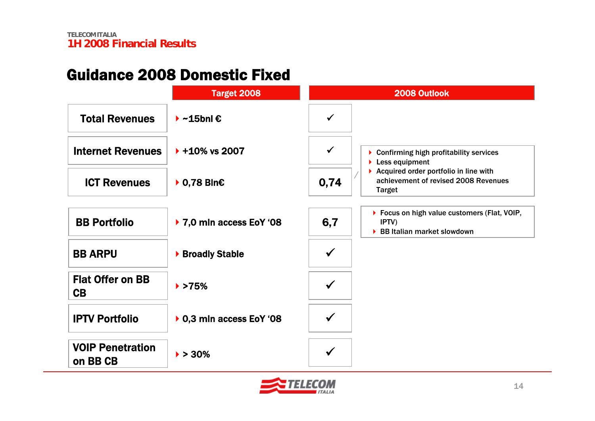## Guidance 2008 Domestic Fixed

|                                     | <b>Target 2008</b>                      |              | 2008 Outlook                                                                                   |
|-------------------------------------|-----------------------------------------|--------------|------------------------------------------------------------------------------------------------|
| <b>Total Revenues</b>               | $\blacktriangleright$ ~15bnl $\epsilon$ |              |                                                                                                |
| <b>Internet Revenues</b>            | $+10\%$ vs 2007                         | $\checkmark$ | Confirming high profitability services<br>$\blacktriangleright$ Less equipment                 |
| <b>ICT Revenues</b>                 | $\triangleright$ 0,78 Bln $\epsilon$    | 0,74         | Acquired order portfolio in line with<br>achievement of revised 2008 Revenues<br><b>Target</b> |
| <b>BB Portfolio</b>                 | ▶ 7,0 mln access EoY '08                | 6,7          | ▶ Focus on high value customers (Flat, VOIP,<br>IPTV)<br>▶ BB Italian market slowdown          |
| <b>BB ARPU</b>                      | ▶ Broadly Stable                        | $\checkmark$ |                                                                                                |
| <b>Flat Offer on BB</b><br>CB       | $\blacktriangleright$ >75%              |              |                                                                                                |
| <b>IPTV Portfolio</b>               | ▶ 0,3 mln access EoY '08                |              |                                                                                                |
| <b>VOIP Penetration</b><br>on BB CB | $\blacktriangleright$ > 30%             |              |                                                                                                |

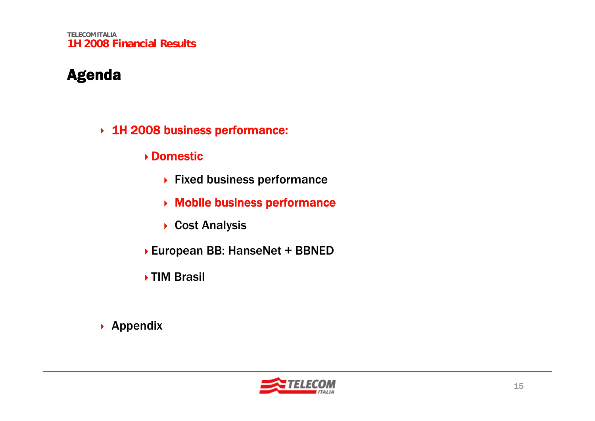**TELECOM ITALIA1H 2008 Financial Results**

#### Agenda

- 1H 2008 business performance:
	- Domestic
		- ▶ Fixed business performance
		- Mobile business performance
		- ▶ Cost Analysis
	- European BB: HanseNet + BBNED
	- ▶ TIM Brasil

▶ Appendix

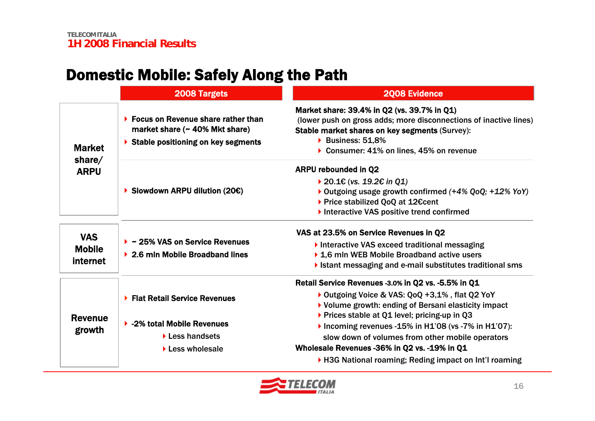## Domestic Mobile: Safely Along the Path

|                          | 2008 Targets                                                                                                                        | <b>2008 Evidence</b>                                                                                                                                                                                                                     |  |  |  |  |
|--------------------------|-------------------------------------------------------------------------------------------------------------------------------------|------------------------------------------------------------------------------------------------------------------------------------------------------------------------------------------------------------------------------------------|--|--|--|--|
| <b>Market</b>            | $\triangleright$ Focus on Revenue share rather than<br>market share $($ $\sim$ 40% Mkt share)<br>Stable positioning on key segments | Market share: 39.4% in Q2 (vs. 39.7% in Q1)<br>(lower push on gross adds; more disconnections of inactive lines)<br><b>Stable market shares on key segments (Survey):</b><br>Business: 51,8%<br>▶ Consumer: 41% on lines, 45% on revenue |  |  |  |  |
| share $/$<br><b>ARPU</b> |                                                                                                                                     | <b>ARPU rebounded in Q2</b>                                                                                                                                                                                                              |  |  |  |  |
|                          |                                                                                                                                     | ▶ 20.1€ (vs. 19.2€ in Q1)                                                                                                                                                                                                                |  |  |  |  |
|                          | Slowdown ARPU dilution (20 $\varepsilon$ )                                                                                          | ▶ Outgoing usage growth confirmed (+4% QoQ; +12% YoY)                                                                                                                                                                                    |  |  |  |  |
|                          |                                                                                                                                     | ▶ Price stabilized QoQ at 12€cent                                                                                                                                                                                                        |  |  |  |  |
|                          |                                                                                                                                     | Interactive VAS positive trend confirmed                                                                                                                                                                                                 |  |  |  |  |
| <b>VAS</b>               |                                                                                                                                     | VAS at 23.5% on Service Revenues in Q2                                                                                                                                                                                                   |  |  |  |  |
| <b>Mobile</b>            | $\triangleright$ ~ 25% VAS on Service Revenues                                                                                      | Interactive VAS exceed traditional messaging                                                                                                                                                                                             |  |  |  |  |
|                          | ▶ 2.6 mln Mobile Broadband lines                                                                                                    | ▶ 1,6 mln WEB Mobile Broadband active users                                                                                                                                                                                              |  |  |  |  |
| internet                 |                                                                                                                                     | I Istant messaging and e-mail substitutes traditional sms                                                                                                                                                                                |  |  |  |  |
|                          |                                                                                                                                     | Retail Service Revenues -3.0% in Q2 vs. -5.5% in Q1                                                                                                                                                                                      |  |  |  |  |
|                          | <b>Flat Retail Service Revenues</b>                                                                                                 | Outgoing Voice & VAS: QoQ +3,1%, flat Q2 YoY                                                                                                                                                                                             |  |  |  |  |
|                          |                                                                                                                                     | ▶ Volume growth: ending of Bersani elasticity impact                                                                                                                                                                                     |  |  |  |  |
| <b>Revenue</b>           |                                                                                                                                     | ▶ Prices stable at Q1 level; pricing-up in Q3                                                                                                                                                                                            |  |  |  |  |
| growth                   | ▶ -2% total Mobile Revenues                                                                                                         | Incoming revenues -15% in H1'08 (vs -7% in H1'07):                                                                                                                                                                                       |  |  |  |  |
|                          | $\blacktriangleright$ Less handsets                                                                                                 | slow down of volumes from other mobile operators                                                                                                                                                                                         |  |  |  |  |
|                          | Less wholesale                                                                                                                      | Wholesale Revenues -36% in Q2 vs. -19% in Q1                                                                                                                                                                                             |  |  |  |  |
|                          |                                                                                                                                     | H3G National roaming; Reding impact on Int'l roaming                                                                                                                                                                                     |  |  |  |  |

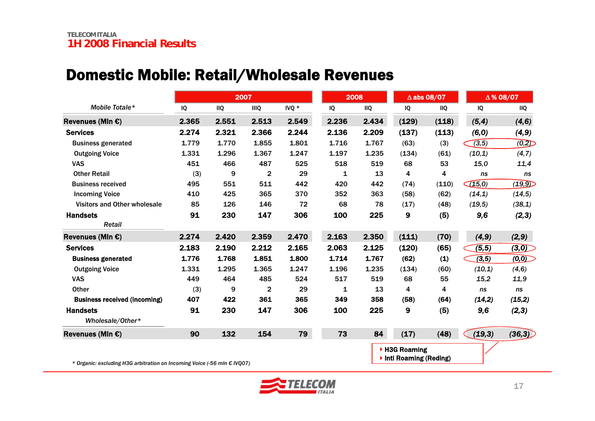## Domestic Mobile: Retail/Wholesale Revenues

|                                                                          |       |            | 2007                    |       |       | 2008       |                                        | $\Delta$ abs 08/07 |        | △% 08/07   |  |
|--------------------------------------------------------------------------|-------|------------|-------------------------|-------|-------|------------|----------------------------------------|--------------------|--------|------------|--|
| Mobile Totale*                                                           | IQ    | <b>IIQ</b> | <b>IIIQ</b>             | IVQ * | IQ    | <b>IIQ</b> | IQ                                     | <b>IIQ</b>         | IQ     | <b>IIQ</b> |  |
| Revenues (MIn $\epsilon$ )                                               | 2.365 | 2.551      | 2.513                   | 2.549 | 2.236 | 2.434      | (129)                                  | (118)              | (5, 4) | (4, 6)     |  |
| <b>Services</b>                                                          | 2.274 | 2.321      | 2.366                   | 2.244 | 2.136 | 2.209      | (137)                                  | (113)              | (6, 0) | (4, 9)     |  |
| <b>Business generated</b>                                                | 1.779 | 1.770      | 1.855                   | 1.801 | 1.716 | 1.767      | (63)                                   | (3)                | (3, 5) | (0,2)      |  |
| <b>Outgoing Voice</b>                                                    | 1.331 | 1.296      | 1.367                   | 1.247 | 1.197 | 1.235      | (134)                                  | (61)               | (10,1) | (4,7)      |  |
| <b>VAS</b>                                                               | 451   | 466        | 487                     | 525   | 518   | 519        | 68                                     | 53                 | 15,0   | 11,4       |  |
| <b>Other Retail</b>                                                      | (3)   | 9          | $\overline{\mathbf{c}}$ | 29    | 1     | 13         | 4                                      | 4                  | ns     | ns         |  |
| <b>Business received</b>                                                 | 495   | 551        | 511                     | 442   | 420   | 442        | (74)                                   | (110)              | (15,0) | (19,9)     |  |
| <b>Incoming Voice</b>                                                    | 410   | 425        | 365                     | 370   | 352   | 363        | (58)                                   | (62)               | (14,1) | (14, 5)    |  |
| Visitors and Other wholesale                                             | 85    | 126        | 146                     | 72    | 68    | 78         | (17)                                   | (48)               | (19,5) | (38,1)     |  |
| <b>Handsets</b><br>Retail                                                | 91    | 230        | 147                     | 306   | 100   | 225        | 9                                      | (5)                | 9,6    | (2,3)      |  |
| Revenues (MIn €)                                                         | 2.274 | 2.420      | 2.359                   | 2.470 | 2.163 | 2.350      | (111)                                  | (70)               | (4, 9) | (2, 9)     |  |
| <b>Services</b>                                                          | 2.183 | 2.190      | 2.212                   | 2.165 | 2.063 | 2.125      | (120)                                  | (65)               | (5, 5) | (3,0)      |  |
| <b>Business generated</b>                                                | 1.776 | 1.768      | 1.851                   | 1.800 | 1.714 | 1.767      | (62)                                   | (1)                | (3,5)  | (0,0)      |  |
| <b>Outgoing Voice</b>                                                    | 1.331 | 1.295      | 1.365                   | 1.247 | 1.196 | 1.235      | (134)                                  | (60)               | (10,1) | (4, 6)     |  |
| <b>VAS</b>                                                               | 449   | 464        | 485                     | 524   | 517   | 519        | 68                                     | 55                 | 15,2   | 11,9       |  |
| <b>Other</b>                                                             | (3)   | 9          | $\overline{2}$          | 29    | 1     | 13         | 4                                      | 4                  | ns     | ns         |  |
| <b>Business received (incoming)</b>                                      | 407   | 422        | 361                     | 365   | 349   | 358        | (58)                                   | (64)               | (14,2) | (15,2)     |  |
| <b>Handsets</b>                                                          | 91    | 230        | 147                     | 306   | 100   | 225        | 9                                      | (5)                | 9,6    | (2,3)      |  |
| Wholesale/Other*                                                         |       |            |                         |       |       |            |                                        |                    |        |            |  |
| Revenues (MIn $\epsilon$ )                                               | 90    | 132        | 154                     | 79    | 73    | 84         | (17)                                   | (48)               | (19,3) | (36,3)     |  |
| * Organic: excluding H3G arbitration on Incoming Voice (-56 mln € IVQ07) |       |            |                         |       |       |            | ▶ H3G Roaming<br>Intl Roaming (Reding) |                    |        |            |  |

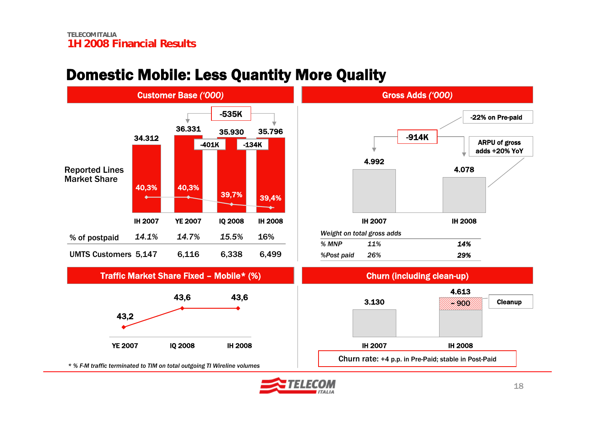

43,6 43,6

## Domestic Mobile: Less Quantity More Quality



*\* % F-M traffic terminated to TIM on total outgoing TI Wireline volumes*

YE 2007 IQ 2008 IH 2008

43,2

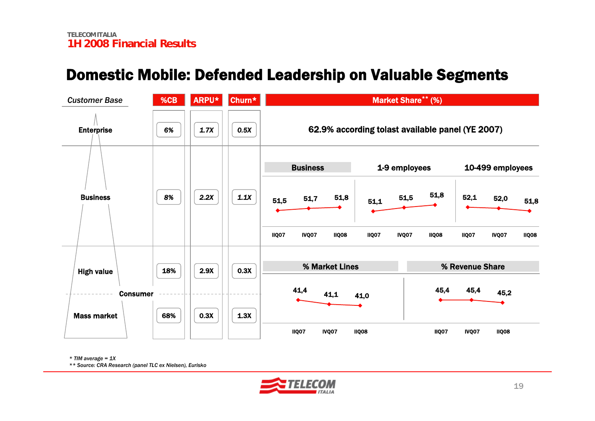#### Domestic Mobile: Defended Leadership on Valuable Segments

| <b>Customer Base</b> | %CB | ARPU* | Churn* |                                       | <b>Market Share** (%)</b>                        |                                       |
|----------------------|-----|-------|--------|---------------------------------------|--------------------------------------------------|---------------------------------------|
| <b>Enterprise</b>    | 6%  | 1.7X  | 0.5X   |                                       | 62.9% according tolast available panel (YE 2007) |                                       |
|                      |     |       |        | <b>Business</b>                       | 1-9 employees                                    | 10-499 employees                      |
| <b>Business</b>      | 8%  | 2.2X  | 1.1X   | 51,8<br>51,7<br>51,5                  | 51,8<br>51,5<br>51,1                             | 52,1<br>52,0<br>51,8                  |
|                      |     |       |        | <b>IIQ07</b><br>IVQ07<br><b>IIQ08</b> | <b>IIQ07</b><br>IVQ07<br><b>IIQ08</b>            | <b>IIQ07</b><br>IVQ07<br><b>IIQ08</b> |
| <b>High value</b>    | 18% | 2.9X  | 0.3X   | % Market Lines                        |                                                  | % Revenue Share                       |
| <b>Consumer</b>      |     |       |        | 41,4<br>41,1                          | 41,0                                             | 45,4<br>45,4<br>45,2                  |
| <b>Mass market</b>   | 68% | 0.3X  | 1.3X   | IIQ07<br>IVQ07                        | <b>IIQ08</b>                                     | <b>IIQ07</b><br>IVQ07<br><b>IIQ08</b> |

*\* TIM average = 1X*

*\*\* Source: CRA Research (panel TLC ex Nielsen), Eurisko*

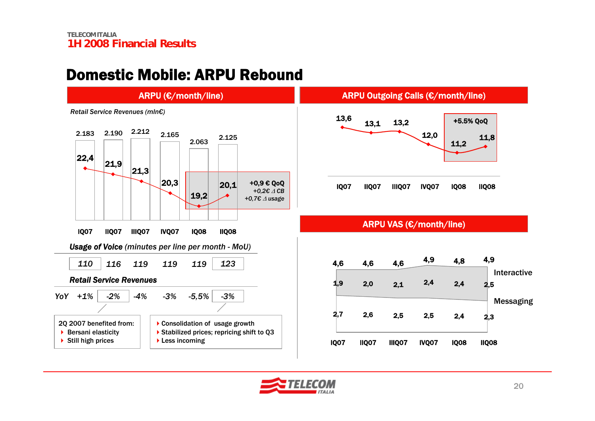#### Domestic Mobile: ARPU Rebound



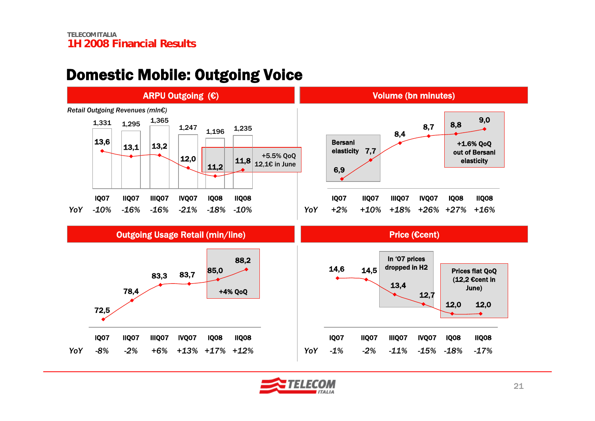#### Domestic Mobile: Outgoing Voice



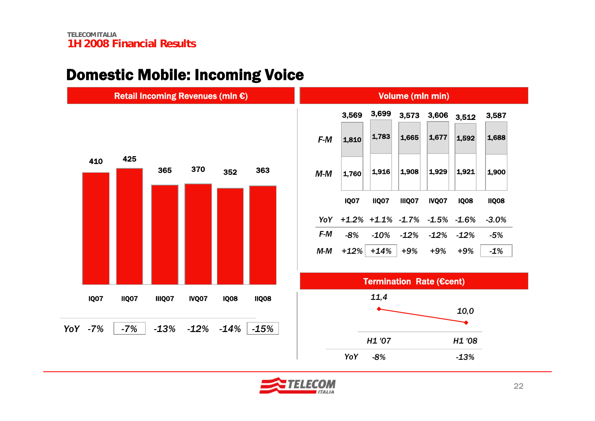#### Domestic Mobile: Incoming Voice



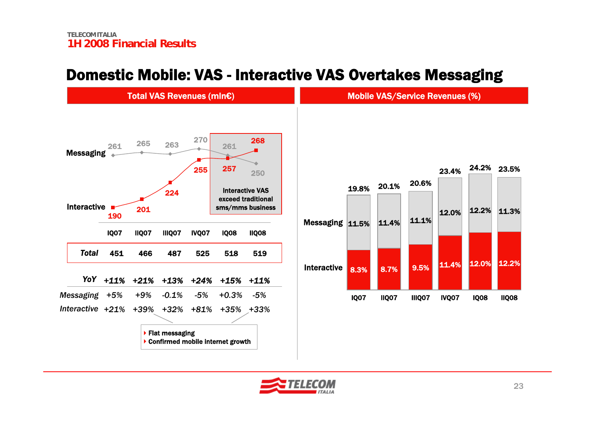#### Domestic Mobile: VAS - Interactive VAS Overtakes Messaging



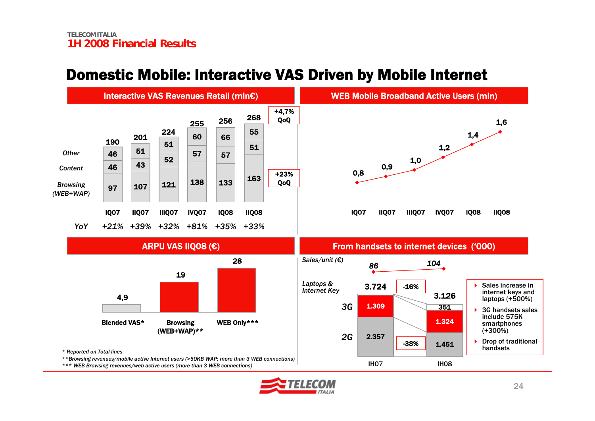## Domestic Mobile: Interactive VAS Driven by Mobile Internet



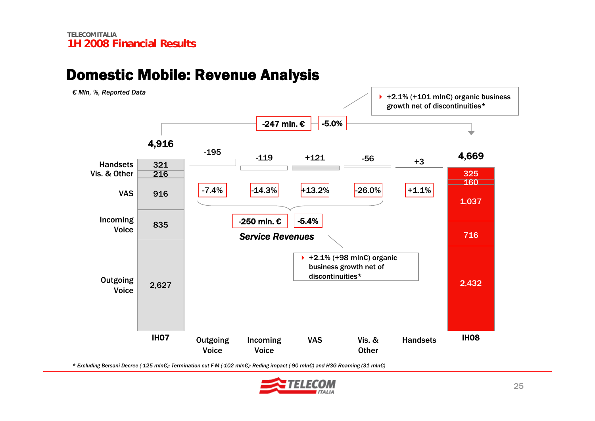#### -5.0% 4,916 -247 mln. € 4,669 -7.4% $-14.3\%$  +13.2%  $-26.0\%$  +1.1% **Outgoing** VoiceVASIncoming Voice Vis. & Other **IH07** Outgoing Incoming VAS Vis.& Handsets IH08 VoiceIncoming Voice VAS Vis. & **Other Handsets** -195 -119 +121 -56 +3 +2.1% (+101 mln€) organic business growth net of discontinuities\* Handsets2,627 2,432 8357169161,037 216160321325*Service Revenues* -250 mln. € -5.4% +2.1% (+98 mln€) organic business growth net of discontinuities\**€ Mln, %, Reported Data*

Domestic Mobile: Revenue Analysis

*\* Excluding Bersani Decree (-125 mln€); Termination cut F-M (-102 mln€); Reding impact (-90 mln€) and H3G Roaming (31 mln€)*

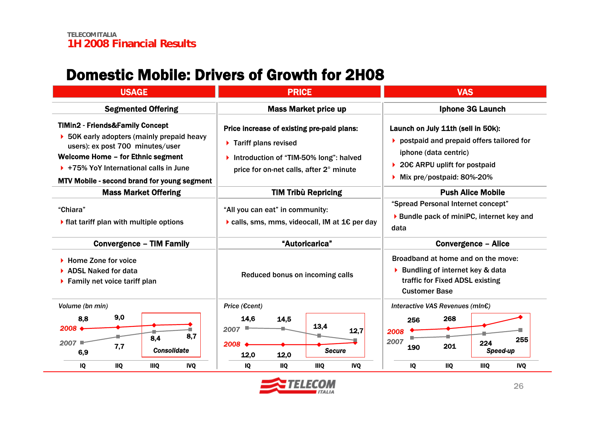#### Domestic Mobile: Drivers of Growth for 2H08

| <b>USAGE</b>                                                                                                                                                                                                                                                                             | <b>PRICE</b>                                                                                                                                                             | <b>VAS</b>                                                                                                                                                                            |  |  |
|------------------------------------------------------------------------------------------------------------------------------------------------------------------------------------------------------------------------------------------------------------------------------------------|--------------------------------------------------------------------------------------------------------------------------------------------------------------------------|---------------------------------------------------------------------------------------------------------------------------------------------------------------------------------------|--|--|
| <b>Segmented Offering</b>                                                                                                                                                                                                                                                                | <b>Mass Market price up</b>                                                                                                                                              | <b>Iphone 3G Launch</b>                                                                                                                                                               |  |  |
| <b>TIMin2 - Friends&amp;Family Concept</b><br>$\triangleright$ 50K early adopters (mainly prepaid heavy<br>users): ex post 700 minutes/user<br>Welcome Home - for Ethnic segment<br>$\triangleright$ +75% YoY International calls in June<br>MTV Mobile - second brand for young segment | Price increase of existing pre-paid plans:<br>$\triangleright$ Tariff plans revised<br>Introduction of "TIM-50% long": halved<br>price for on-net calls, after 2° minute | Launch on July 11th (sell in 50k):<br>$\triangleright$ postpaid and prepaid offers tailored for<br>iphone (data centric)<br>20€ ARPU uplift for postpaid<br>Mix pre/postpaid: 80%-20% |  |  |
| <b>Mass Market Offering</b>                                                                                                                                                                                                                                                              | <b>TIM Tribù Repricing</b>                                                                                                                                               | <b>Push Alice Mobile</b>                                                                                                                                                              |  |  |
| "Chiara"<br>$\blacktriangleright$ flat tariff plan with multiple options                                                                                                                                                                                                                 | "All you can eat" in community:<br>$\triangleright$ calls, sms, mms, videocall, IM at 1 $\epsilon$ per day                                                               | "Spread Personal Internet concept"<br>▶ Bundle pack of miniPC, internet key and<br>data                                                                                               |  |  |
| <b>Convergence - TIM Family</b>                                                                                                                                                                                                                                                          | "Autoricarica"                                                                                                                                                           | <b>Convergence - Alice</b>                                                                                                                                                            |  |  |
| $\blacktriangleright$ Home Zone for voice<br><b>ADSL Naked for data</b><br>$\blacktriangleright$ Family net voice tariff plan                                                                                                                                                            | Reduced bonus on incoming calls                                                                                                                                          | Broadband at home and on the move:<br>▶ Bundling of internet key & data<br>traffic for Fixed ADSL existing<br><b>Customer Base</b>                                                    |  |  |
| Volume (bn min)<br>9,0<br>8,8<br>2008<br>8,7<br>8,4<br>2007<br>7,7<br><b>Consolidate</b><br>6,9<br><b>IVQ</b><br>IQ<br><b>IIQ</b><br><b>IIIQ</b>                                                                                                                                         | Price (€cent)<br>14,6<br>14,5<br>13,4<br>2007<br>12,7<br>2008<br><b>Secure</b><br>12,0<br>12,0<br><b>IVQ</b><br>IQ<br><b>IIQ</b><br><b>IIIQ</b>                          | Interactive VAS Revenues (mIn€)<br>268<br>256<br>2008<br>255<br>2007<br>224<br>201<br>190<br>Speed-up<br><b>IIQ</b><br><b>IVQ</b><br>IQ<br><b>IIIQ</b>                                |  |  |

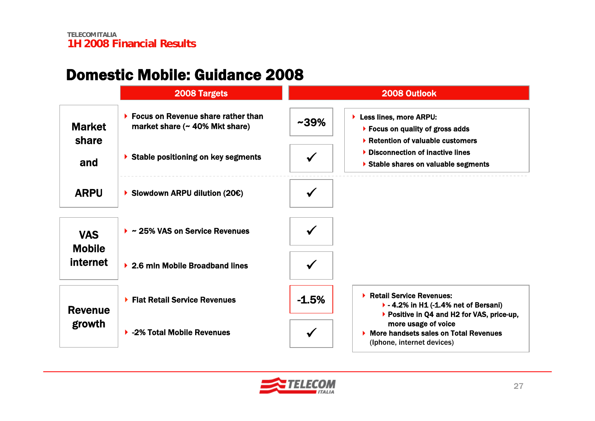#### Domestic Mobile: Guidance 2008

|                             | 2008 Targets                                                                               |           | 2008 Outlook                                                                                                                          |
|-----------------------------|--------------------------------------------------------------------------------------------|-----------|---------------------------------------------------------------------------------------------------------------------------------------|
| <b>Market</b>               | $\blacktriangleright$ Focus on Revenue share rather than<br>market share (~ 40% Mkt share) | $~1.39\%$ | Less lines, more ARPU:<br>$\triangleright$ Focus on quality of gross adds                                                             |
| share<br>and                | Stable positioning on key segments                                                         |           | ▶ Retention of valuable customers<br>▶ Disconnection of inactive lines<br>Stable shares on valuable segments                          |
| <b>ARPU</b>                 | Slowdown ARPU dilution (20 $\varepsilon$ )                                                 |           |                                                                                                                                       |
| <b>VAS</b><br><b>Mobile</b> | $\triangleright$ ~ 25% VAS on Service Revenues                                             |           |                                                                                                                                       |
| <b>internet</b>             | ▶ 2.6 mln Mobile Broadband lines                                                           |           |                                                                                                                                       |
| <b>Revenue</b>              | ▶ Flat Retail Service Revenues                                                             | $-1.5%$   | ▶ Retail Service Revenues:<br>$\blacktriangleright$ - 4.2% in H1 (-1.4% net of Bersani)<br>▶ Positive in Q4 and H2 for VAS, price-up, |
| growth                      | ▶ -2% Total Mobile Revenues                                                                |           | more usage of voice<br>▶ More handsets sales on Total Revenues<br>(Iphone, internet devices)                                          |

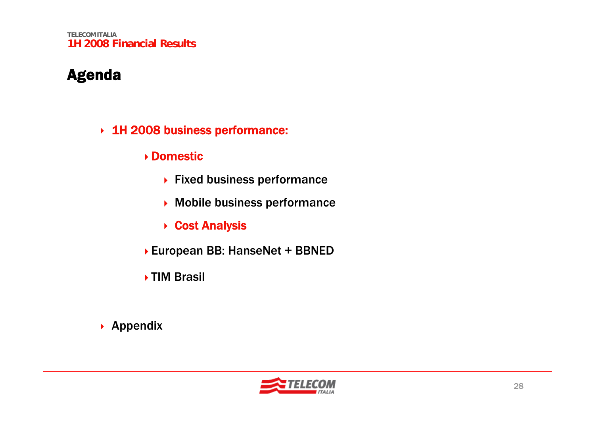**TELECOM ITALIA1H 2008 Financial Results**

#### Agenda

- 1H 2008 business performance:
	- Domestic
		- ▶ Fixed business performance
		- Mobile business performance
		- **▶ Cost Analysis**
	- European BB: HanseNet + BBNED
	- ▶ TIM Brasil

▶ Appendix

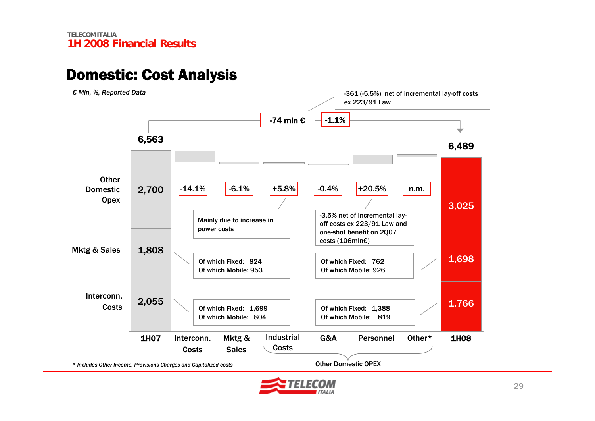#### Domestic: Cost Analysis



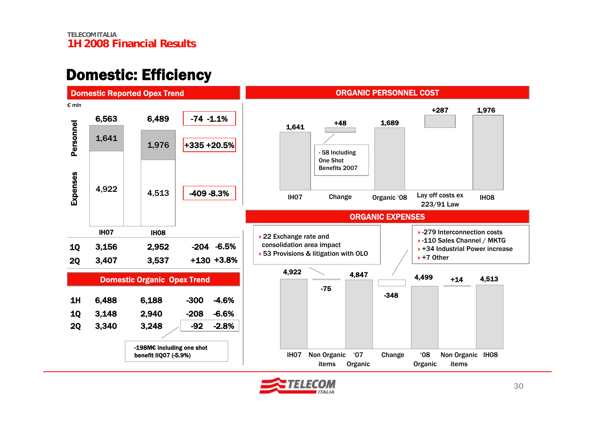#### Domestic: Efficiency



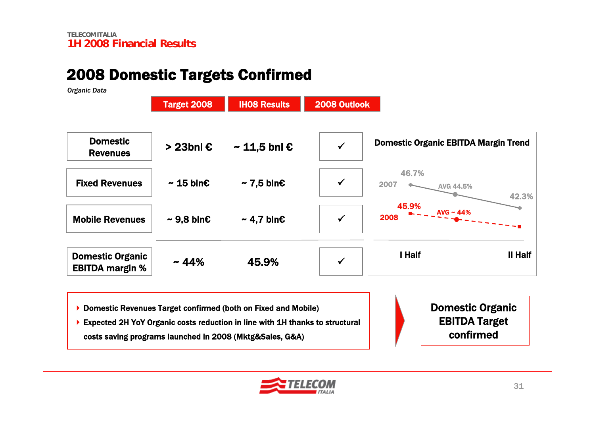#### 2008 Domestic Targets Confirmed

*Organic Data*

|                                                   | <b>Target 2008</b>        | <b>IHO8 Results</b>        | 2008 Outlook |                                             |
|---------------------------------------------------|---------------------------|----------------------------|--------------|---------------------------------------------|
| <b>Domestic</b><br><b>Revenues</b>                | > 23bnl €                 | $\sim$ 11,5 bnl $\epsilon$ | $\checkmark$ | <b>Domestic Organic EBITDA Margin Trend</b> |
| <b>Fixed Revenues</b>                             | $\sim$ 15 bln $\epsilon$  | $\sim$ 7,5 bln $\epsilon$  | $\checkmark$ | 46.7%<br>2007<br><b>AVG 44.5%</b><br>42.3%  |
| <b>Mobile Revenues</b>                            | $\sim$ 9,8 bln $\epsilon$ | $~\sim$ 4,7 bln€           | $\checkmark$ | 45.9%<br>$AVG \sim 44\%$<br>2008            |
| <b>Domestic Organic</b><br><b>EBITDA margin %</b> | $~14\%$                   | 45.9%                      | $\checkmark$ | I Half<br>II Half                           |

▶ Domestic Revenues Target confirmed (both on Fixed and Mobile)

▶ Expected 2H YoY Organic costs reduction in line with 1H thanks to structural costs saving programs launched in 2008 (Mktg&Sales, G&A)

Domestic Organic EBITDA Target confirmed

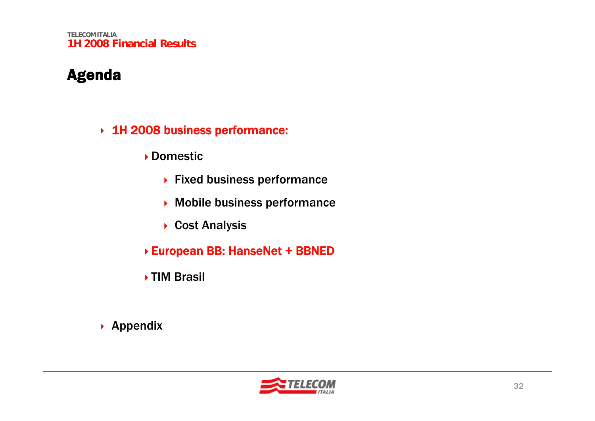**TELECOM ITALIA1H 2008 Financial Results**

#### Agenda

- 1H 2008 business performance:
	- Domestic
		- ▶ Fixed business performance
		- Mobile business performance
		- ▶ Cost Analysis
	- European BB: HanseNet + BBNED
	- **▶ TIM Brasil**
- ▶ Appendix

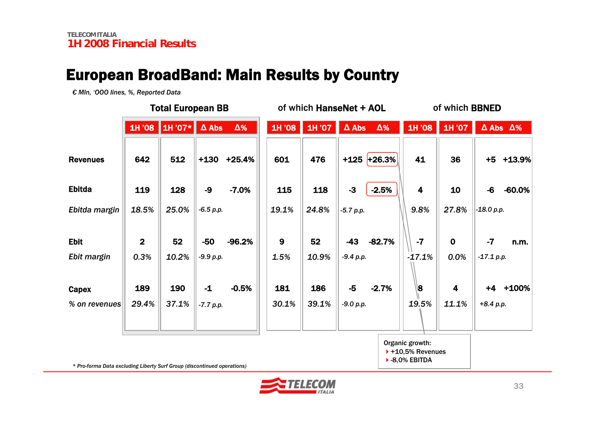#### European BroadBand: Main Results by Country

*€ Mln, 'OOO lines, %, Reported Data*

|                        | <b>Total European BB</b> |                         |                     | of which HanseNet + AOL |              |              |                     | of which <b>BBNED</b> |                         |               |                   |                         |
|------------------------|--------------------------|-------------------------|---------------------|-------------------------|--------------|--------------|---------------------|-----------------------|-------------------------|---------------|-------------------|-------------------------|
|                        | 1H '08                   | $\vert$ 1H '07* $\vert$ | $\Delta$ Abs        | $\Delta\%$              | 1H '08       | 1H '07       | $\Delta$ Abs        | $\Delta\%$            |                         | 1H '08 1H '07 |                   | $\Delta$ Abs $\Delta\%$ |
| <b>Revenues</b>        | 642                      | 512                     | $+130$              | $+25.4%$                | 601          | 476          |                     | $+125$ +26.3%         | 41                      | 36            |                   | +5 +13.9%               |
| <b>Ebitda</b>          | 119                      | 128                     | -9                  | $-7.0%$                 | 115          | 118          | $-3$                | $-2.5%$               | $\overline{\mathbf{4}}$ | 10            | $-6$              | $-60.0%$                |
| Ebitda margin          | 18.5%                    | 25.0%                   | $-6.5 p.p.$         |                         | 19.1%        | 24.8%        | $-5.7 p.p.$         |                       | 9.8%                    | 27.8%         | $-18.0 p.p.$      |                         |
| <b>Ebit</b>            | $\overline{2}$           | 52                      | $-50$               | $-96.2%$                | 9            | 52           | $-43$               | $-82.7%$              | $-7$                    | $\mathbf 0$   | $-7$              | n.m.                    |
| Ebit margin            | 0.3%                     | 10.2%                   | $-9.9 p.p.$         |                         | 1.5%         | 10.9%        | $-9.4 p.p.$         |                       | $-17.1%$                | 0.0%          | $-17.1 p.p.$      |                         |
| Capex<br>% on revenues | 189<br>29.4%             | 190<br>37.1%            | $-1$<br>$-7.7 p.p.$ | $-0.5%$                 | 181<br>30.1% | 186<br>39.1% | $-5$<br>$-9.0 p.p.$ | $-2.7%$               | 8∥<br>19.5%             | 4<br>11.1%    | +4<br>$+8.4 p.p.$ | +100%                   |

Organic growth:

 $+10,5%$  Revenues  $\blacktriangleright$  -8,0% EBITDA

*\* Pro-forma Data excluding Liberty Surf Group (discontinued operations)*

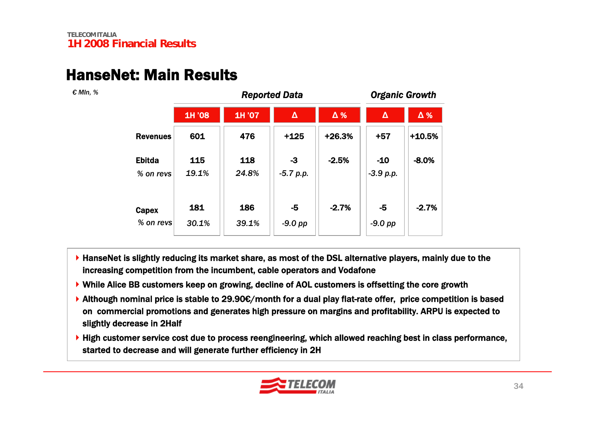#### HanseNet: Main Results

*€ Mln, %*

|                            |              | <b>Organic Growth</b> |                     |          |                      |            |  |
|----------------------------|--------------|-----------------------|---------------------|----------|----------------------|------------|--|
|                            | 1H '08       | 1H '07                | $\pmb{\Delta}$      | Δ%       | $\Delta$             | $\Delta$ % |  |
| <b>Revenues</b>            | 601          | 476                   | $+125$              | $+26.3%$ | $+57$                | $+10.5%$   |  |
| <b>Ebitda</b><br>% on revs | 115<br>19.1% | 118<br>24.8%          | $-3$<br>$-5.7 p.p.$ | $-2.5%$  | $-10$<br>$-3.9 p.p.$ | $-8.0%$    |  |
| Capex<br>% on revs         | 181<br>30.1% | 186<br>39.1%          | $-5$<br>$-9.0$ pp   | $-2.7%$  | -5<br>$-9.0$ pp      | $-2.7%$    |  |

- ▶ HanseNet is slightly reducing its market share, as most of the DSL alternative players, mainly due to the increasing competition from the incumbent, cable operators and Vodafone
- ▶ While Alice BB customers keep on growing, decline of AOL customers is offsetting the core growth
- Although nominal price is stable to 29.90€/month for a dual play flat-rate offer, price competition is based on commercial promotions and generates high pressure on margins and profitability. ARPU is expected to slightly decrease in 2Half
- ▶ High customer service cost due to process reengineering, which allowed reaching best in class performance, started to decrease and will generate further efficiency in 2H

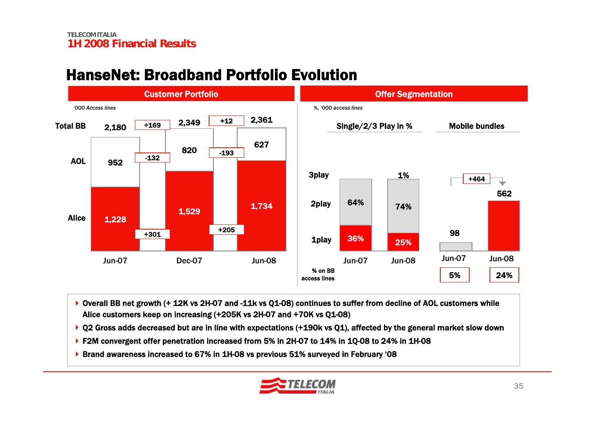#### HanseNet: Broadband Portfolio Evolution



- ▶ Overall BB net growth (+ 12K vs 2H-07 and -11k vs Q1-08) continues to suffer from decline of AOL customers while Alice customers keep on increasing (+205K vs 2H-07 and +70K vs Q1-08)
- ▶ Q2 Gross adds decreased but are in line with expectations (+190k vs Q1), affected by the general market slow down
- ▶ F2M convergent offer penetration increased from 5% in 2H-07 to 14% in 1Q-08 to 24% in 1H-08
- ▶ Brand awareness increased to 67% in 1H-08 vs previous 51% surveyed in February '08

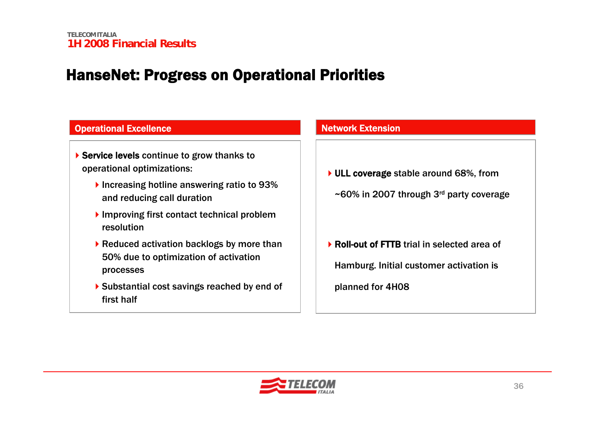## HanseNet: Progress on Operational Priorities

| <b>Operational Excellence</b>                                                                                                                        | <b>Network Extension</b>                                                                            |  |  |
|------------------------------------------------------------------------------------------------------------------------------------------------------|-----------------------------------------------------------------------------------------------------|--|--|
| ▶ Service levels continue to grow thanks to<br>operational optimizations:<br>Increasing hotline answering ratio to 93%<br>and reducing call duration | ▶ ULL coverage stable around 68%, from<br>$\sim$ 60% in 2007 through 3 <sup>rd</sup> party coverage |  |  |
| Improving first contact technical problem<br>resolution                                                                                              |                                                                                                     |  |  |
| ▶ Reduced activation backlogs by more than<br>50% due to optimization of activation<br>processes                                                     | ▶ Roll-out of FTTB trial in selected area of<br>Hamburg. Initial customer activation is             |  |  |
| ▶ Substantial cost savings reached by end of<br>first half                                                                                           | planned for 4H08                                                                                    |  |  |

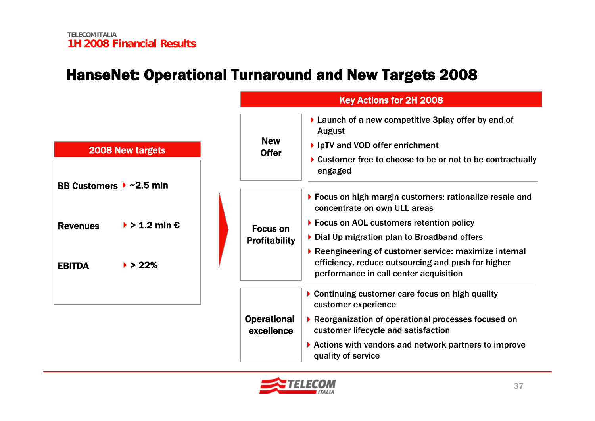## HanseNet: Operational Turnaround and New Targets 2008



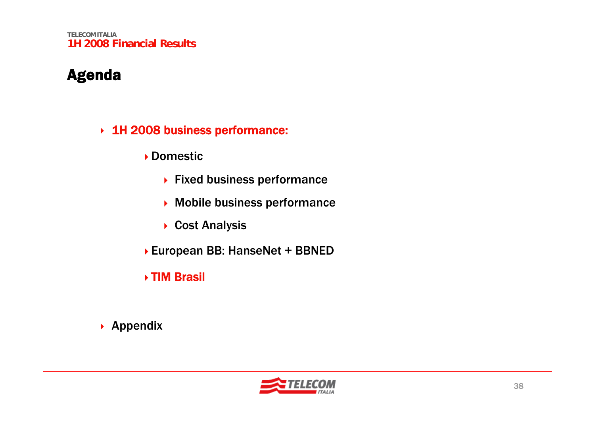**TELECOM ITALIA1H 2008 Financial Results**

#### Agenda

- 1H 2008 business performance:
	- Domestic
		- ▶ Fixed business performance
		- Mobile business performance
		- ▶ Cost Analysis
	- European BB: HanseNet + BBNED
	- TIM Brasil
- ▶ Appendix

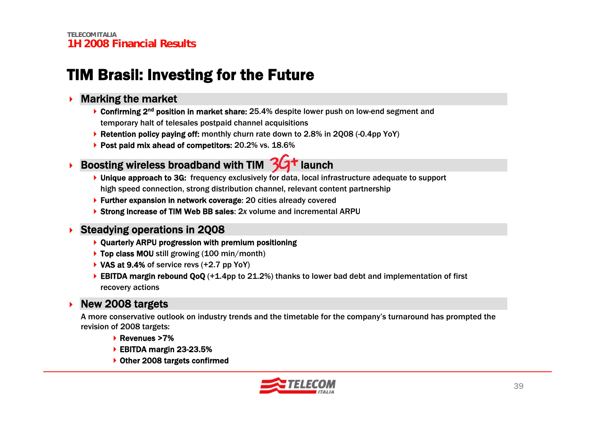## TIM Brasil: Investing for the Future

#### ▶ Marking the market

- ▶ Confirming 2<sup>nd</sup> position in market share: 25.4% despite lower push on low-end segment and temporary halt of telesales postpaid channel acquisitions
- ▶ Retention policy paying off: monthly churn rate down to 2.8% in 2Q08 (-0.4pp YoY)
- ▶ Post paid mix ahead of competitors: 20.2% vs. 18.6%
- ▶ Boosting wireless broadband with TIM 3G<sup>+</sup> launch

- ▶ Unique approach to 3G: frequency exclusively for data, local infrastructure adequate to support high speed connection, strong distribution channel, relevant content partnership
- ▶ Further expansion in network coverage: 20 cities already covered
- ▶ Strong increase of TIM Web BB sales: 2x volume and incremental ARPU

#### ▶ Steadying operations in 2Q08

- Quarterly ARPU progression with premium positioning
- ▶ Top class MOU still growing (100 min/month)
- $\blacktriangleright$  VAS at 9.4% of service revs (+2.7 pp YoY)
- EBITDA margin rebound QoQ  $(+1.4$ pp to 21.2%) thanks to lower bad debt and implementation of first recovery actions

#### ▶ New 2008 targets

A more conservative outlook on industry trends and the timetable for the company's turnaround has prompted the revision of 2008 targets:

- ▶ Revenues >7%
- ▶ EBITDA margin 23-23.5%
- ▶ Other 2008 targets confirmed

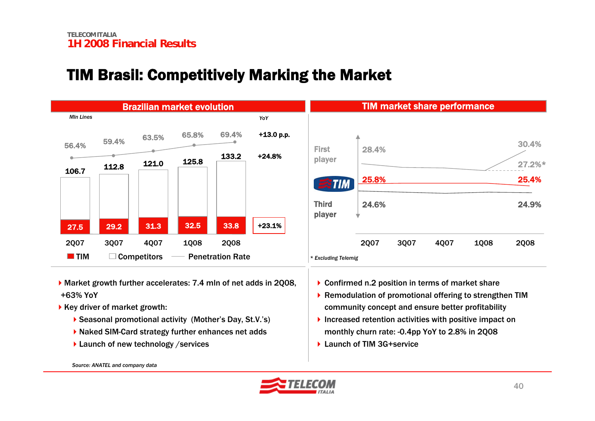#### TIM Brasil: Competitively Marking the Market



- Market growth further accelerates: 7.4 mln of net adds in 2Q08, +63% YoY
- $\triangleright$  Key driver of market growth:
	- ▶ Seasonal promotional activity (Mother's Day, St.V.'s)
	- ▶ Naked SIM-Card strategy further enhances net adds
	- $\blacktriangleright$  Launch of new technology /services

▶ Confirmed n.2 position in terms of market share

- ▶ Remodulation of promotional offering to strengthen TIM community concept and ensure better profitability
- Increased retention activities with positive impact on monthly churn rate: -0.4pp YoY to 2.8% in 2Q08
- ▶ Launch of TIM 3G+service

*Source: ANATEL and company data*



24.9%

2Q08

25.4%

27.2%\*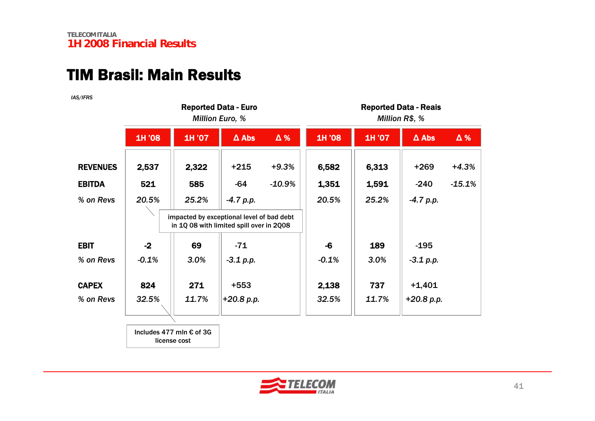#### TIM Brasil: Main Results

*IAS/IFRS*

|                 | <b>Reported Data - Euro</b><br><b>Million Euro, %</b> |                                                   |                                                                                       |          | <b>Reported Data - Reais</b><br>Million R\$, % |        |              |          |
|-----------------|-------------------------------------------------------|---------------------------------------------------|---------------------------------------------------------------------------------------|----------|------------------------------------------------|--------|--------------|----------|
|                 | 1H '08                                                | 1H '07                                            | $\Delta$ Abs                                                                          | Δ%       | 1H '08                                         | 1H '07 | $\Delta$ Abs | Δ%       |
| <b>REVENUES</b> | 2,537                                                 | 2,322                                             | $+215$                                                                                | $+9.3%$  | 6,582                                          | 6,313  | $+269$       | $+4.3%$  |
| <b>EBITDA</b>   | 521                                                   | 585                                               | $-64$                                                                                 | $-10.9%$ | 1,351                                          | 1,591  | $-240$       | $-15.1%$ |
| % on Revs       | 20.5%                                                 | 25.2%                                             | $-4.7 p.p.$                                                                           |          | 20.5%                                          | 25.2%  | $-4.7 p.p.$  |          |
|                 |                                                       |                                                   | impacted by exceptional level of bad debt<br>in 1Q 08 with limited spill over in 2Q08 |          |                                                |        |              |          |
| <b>EBIT</b>     | $-2$                                                  | 69                                                | $-71$                                                                                 |          | $-6$                                           | 189    | $-195$       |          |
| % on Revs       | $-0.1%$                                               | 3.0%                                              | $-3.1$ p.p.                                                                           |          | $-0.1%$                                        | 3.0%   | $-3.1$ p.p.  |          |
| <b>CAPEX</b>    | 824                                                   | 271                                               | $+553$                                                                                |          | 2,138                                          | 737    | $+1,401$     |          |
| % on Revs       | 32.5%                                                 | 11.7%                                             | $+20.8 p.p.$                                                                          |          | 32.5%                                          | 11.7%  | $+20.8 p.p.$ |          |
|                 |                                                       |                                                   |                                                                                       |          |                                                |        |              |          |
|                 |                                                       | Includes 477 mln $\epsilon$ of 3G<br>license cost |                                                                                       |          |                                                |        |              |          |

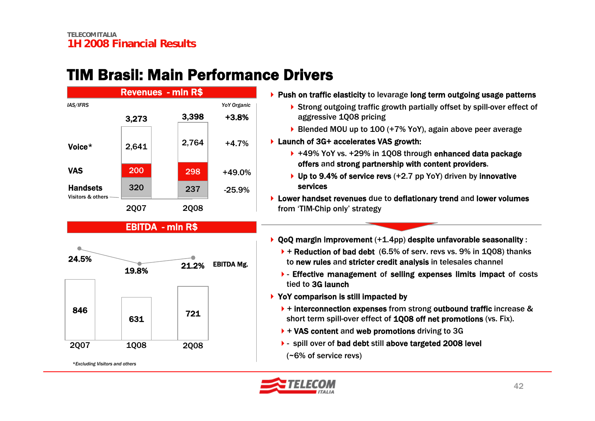## TIM Brasil: Main Performance Drivers



#### EBITDA - mln R\$



*<sup>\*</sup>Excluding Visitors and others*

 $\blacktriangleright$  Push on traffic elasticity to levarage long term outgoing usage patterns

- ▶ Strong outgoing traffic growth partially offset by spill-over effect of aggressive 1Q08 pricing
- ▶ Blended MOU up to 100 (+7% YoY), again above peer average
- ▶ Launch of 3G+ accelerates VAS growth:
	- ▶ +49% YoY vs. +29% in 1Q08 through enhanced data package offers and strong partnership with content providers.
	- ▶ Up to 9.4% of service revs (+2.7 pp YoY) driven by innovative services
- ▶ Lower handset revenues due to deflationary trend and lower volumes from 'TIM-Chip only' strategy
- QoQ margin improvement (+1.4pp) despite unfavorable seasonality :
	- $\blacktriangleright$  + Reduction of bad debt (6.5% of serv. revs vs. 9% in 1Q08) thanks to new rules and stricter credit analysis in telesales channel
	- Effective management of selling expenses limits impact of costs tied to 3G launch
- ▶ YoY comparison is still impacted by
	- $\rightarrow$  + interconnection expenses from strong outbound traffic increase & short term spill-over effect of 1Q08 off net promotions (vs. Fix).
	- $\blacktriangleright$  + VAS content and web promotions driving to 3G
	- ▶ spill over of bad debt still above targeted 2008 level (~6% of service revs)

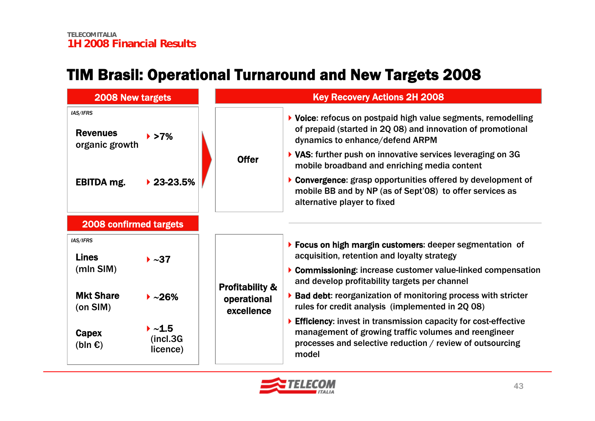## TIM Brasil: Operational Turnaround and New Targets 2008

| <b>2008 New targets</b>                       |                                                         | <b>Key Recovery Actions 2H 2008</b> |                                                                                                                                                                                              |  |  |  |
|-----------------------------------------------|---------------------------------------------------------|-------------------------------------|----------------------------------------------------------------------------------------------------------------------------------------------------------------------------------------------|--|--|--|
| IAS/IFRS<br><b>Revenues</b><br>organic growth | $\blacktriangleright$ >7%                               |                                     | ▶ Voice: refocus on postpaid high value segments, remodelling<br>of prepaid (started in 2Q 08) and innovation of promotional<br>dynamics to enhance/defend ARPM                              |  |  |  |
|                                               |                                                         | <b>Offer</b>                        | ▶ VAS: further push on innovative services leveraging on 3G<br>mobile broadband and enriching media content                                                                                  |  |  |  |
| <b>EBITDA</b> mg.                             | $\blacktriangleright$ 23-23.5%                          |                                     | ▶ Convergence: grasp opportunities offered by development of<br>mobile BB and by NP (as of Sept'08) to offer services as<br>alternative player to fixed                                      |  |  |  |
| <b>2008 confirmed targets</b>                 |                                                         |                                     |                                                                                                                                                                                              |  |  |  |
| IAS/IFRS<br><b>Lines</b>                      | $\blacktriangleright \sim 37$                           |                                     | ▶ Focus on high margin customers: deeper segmentation of<br>acquisition, retention and loyalty strategy                                                                                      |  |  |  |
| (mIn SIM)                                     |                                                         | <b>Profitability &amp;</b>          | ▶ Commissioning: increase customer value-linked compensation<br>and develop profitability targets per channel                                                                                |  |  |  |
| <b>Mkt Share</b><br>(on SIM)                  | $\blacktriangleright$ ~26%                              | operational<br>excellence           | ▶ Bad debt: reorganization of monitoring process with stricter<br>rules for credit analysis (implemented in 2Q 08)                                                                           |  |  |  |
| Capex<br>(bln $\epsilon$ )                    | $\blacktriangleright \sim 1.5$<br>(incl.3G)<br>licence) |                                     | Efficiency: invest in transmission capacity for cost-effective<br>management of growing traffic volumes and reengineer<br>processes and selective reduction / review of outsourcing<br>model |  |  |  |

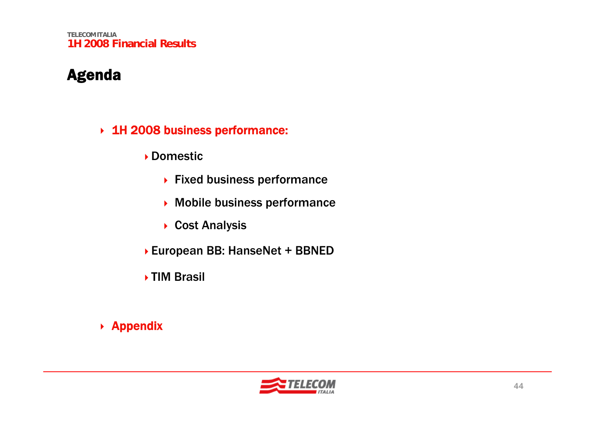**TELECOM ITALIA1H 2008 Financial Results**

#### Agenda

#### 1H 2008 business performance:

Domestic

- ▶ Fixed business performance
- Mobile business performance
- ▶ Cost Analysis
- European BB: HanseNet + BBNED
- ▶ TIM Brasil

#### ▶ Appendix

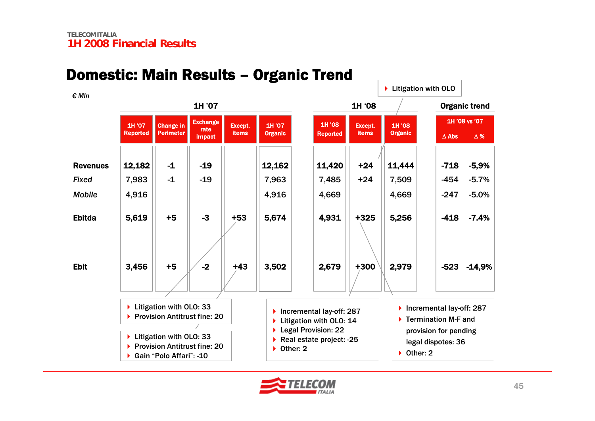#### Domestic: Main Results – Organic Trend

▶ Litigation with OLO: 33 ▶ Provision Antitrust fine: 20 ▶ Gain "Polo Affari": -10 RevenuesEbitdaEbit1H '08 Reported 11,420 4,931 2,679 Except. items +325+3001H '08 **Organic** 5,256 2,979 -718-418-523 -14,9% Δ Abs**s** Δ% 1H '08 vs '07 -5,9% -7.4%12,182 || -1 || -19 || ||12,162 || ||11,420 || +24 ||11,444 5,619 3,456 +5+51H '07 Reported Change in Perimeter **Exchange** rate impact -19-3Except. items+43Organic trend 1H '07 **Organic** 12,162 5,674 3,502 1H '07 1H '08*FixedMobile*7,983 4,916 -194,916 7,963 4,669 7,485 4,669  $7,509$   $-454$ -247-5.7%-5.0%-1-1-2+53+24+24▶ Litigation with OLO: 33 ▶ Provision Antitrust fine: 20 ▶ Incremental lay-off: 287  $\blacktriangleright$  Termination M-F and provision for pending legal dispotes: 36 ▶ Other: 2 ▶ Incremental lay-off: 287 ▶ Litigation with OLO: 14 ▶ Legal Provision: 22 ▶ Real estate project: -25 ▶ Other: 2 ▶ Litigation with OLO *€ Mln*

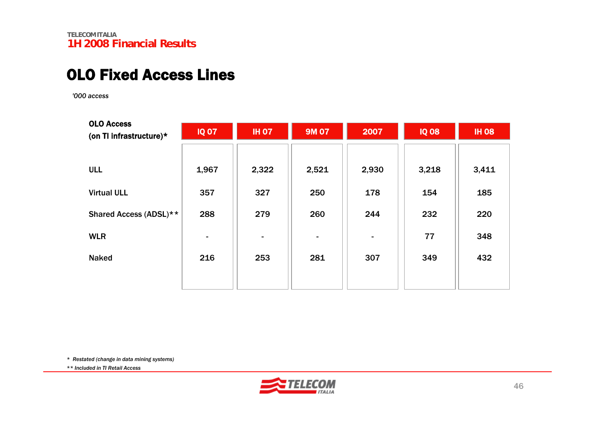#### OLO Fixed Access Lines

*'000 access*

| <b>OLO Access</b><br>(on TI infrastructure)* | <b>IQ 07</b> | <b>IH 07</b> | <b>9M 07</b>             | 2007           | <b>IQ 08</b> | <b>IH 08</b> |
|----------------------------------------------|--------------|--------------|--------------------------|----------------|--------------|--------------|
| <b>ULL</b>                                   | 1,967        | 2,322        | 2,521                    | 2,930          | 3,218        | 3,411        |
| <b>Virtual ULL</b>                           | 357          | 327          | 250                      | 178            | 154          | 185          |
| Shared Access (ADSL)**                       | 288          | 279          | 260                      | 244            | 232          | 220          |
| <b>WLR</b>                                   |              | ٠            | $\overline{\phantom{a}}$ | $\blacksquare$ | 77           | 348          |
| <b>Naked</b>                                 | 216          | 253          | 281                      | 307            | 349          | 432          |
|                                              |              |              |                          |                |              |              |

*\* Restated (change in data mining systems)* 

*\*\* Included in TI Retail Access*

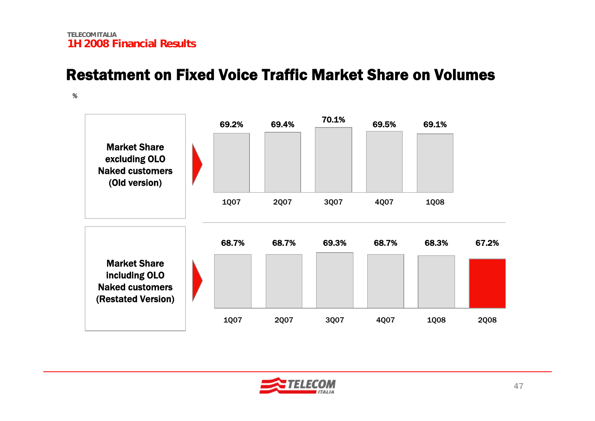#### Restatment on Fixed Voice Traffic Market Share on Volumes

*%*



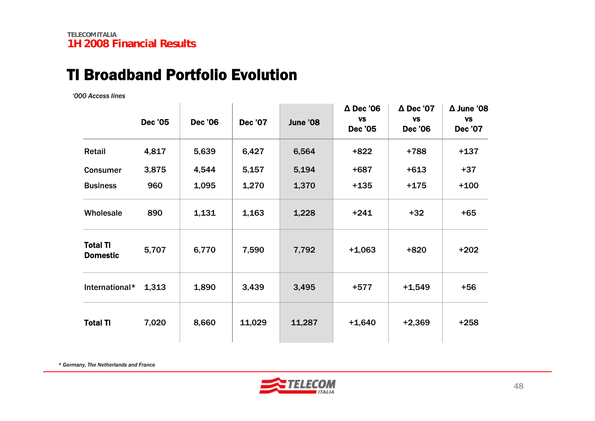#### TI Broadband Portfolio Evolution

*'000 Access lines*

|                                    | <b>Dec '05</b> | <b>Dec '06</b> | <b>Dec '07</b> | June '08 | $\Delta$ Dec '06<br><b>VS</b><br><b>Dec '05</b> | $\Delta$ Dec '07<br><b>VS</b><br><b>Dec '06</b> | $\Delta$ June '08<br><b>VS</b><br><b>Dec '07</b> |
|------------------------------------|----------------|----------------|----------------|----------|-------------------------------------------------|-------------------------------------------------|--------------------------------------------------|
| Retail                             | 4,817          | 5,639          | 6,427          | 6,564    | $+822$                                          | +788                                            | $+137$                                           |
| <b>Consumer</b>                    | 3,875          | 4,544          | 5,157          | 5,194    | $+687$                                          | $+613$                                          | $+37$                                            |
| <b>Business</b>                    | 960            | 1,095          | 1,270          | 1,370    | $+135$                                          | $+175$                                          | $+100$                                           |
| Wholesale                          | 890            | 1,131          | 1,163          | 1,228    | $+241$                                          | $+32$                                           | $+65$                                            |
| <b>Total TI</b><br><b>Domestic</b> | 5,707          | 6,770          | 7,590          | 7,792    | $+1,063$                                        | $+820$                                          | $+202$                                           |
| International*                     | 1,313          | 1,890          | 3,439          | 3,495    | +577                                            | $+1,549$                                        | $+56$                                            |
| <b>Total TI</b>                    | 7,020          | 8,660          | 11,029         | 11,287   | $+1,640$                                        | $+2,369$                                        | $+258$                                           |

*\* Germany, The Netherlands and France*

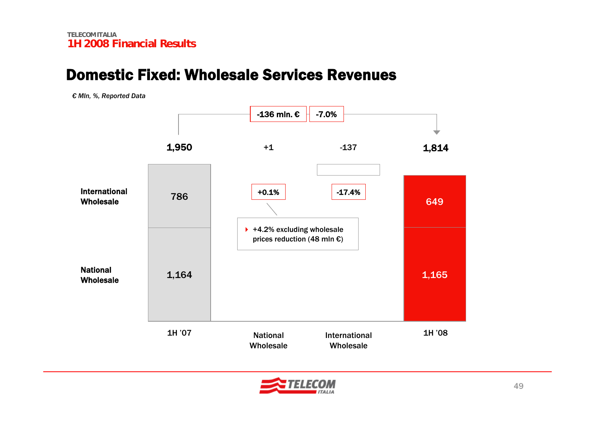#### Domestic Fixed: Wholesale Services Revenues

*€ Mln, %, Reported Data*